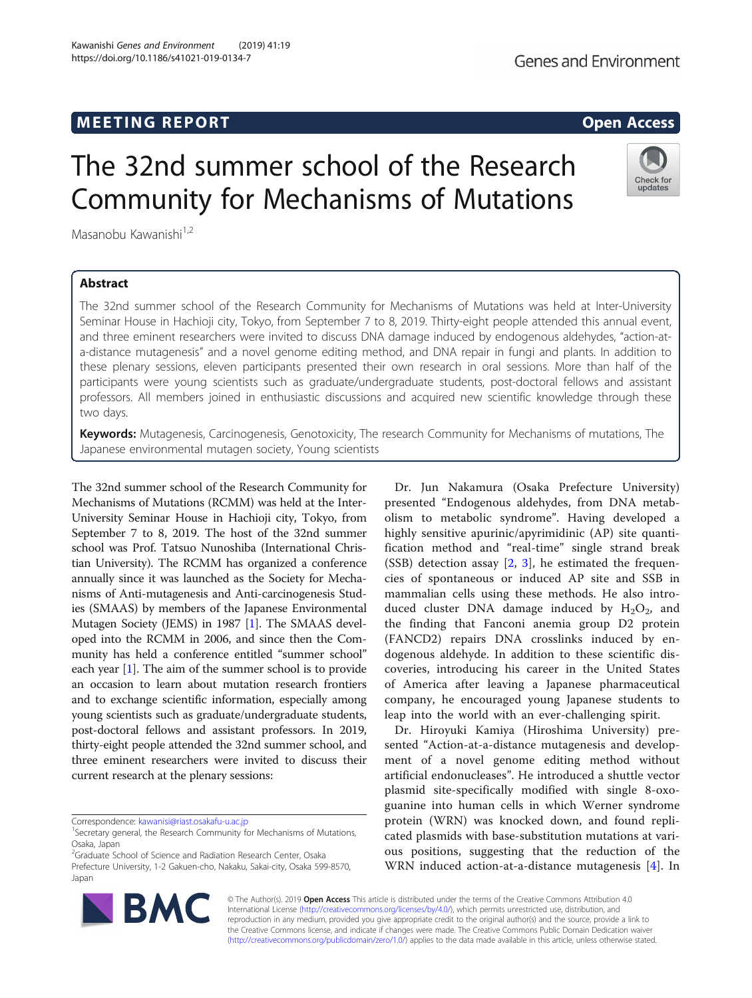# **MEETING REPORT CONSUMING A REPORT** AND THE SECOND ACCESS OPEN ACCESS

# The 32nd summer school of the Research Community for Mechanisms of Mutations

Masanobu Kawanishi<sup>1,2</sup>

# Abstract

The 32nd summer school of the Research Community for Mechanisms of Mutations was held at Inter-University Seminar House in Hachioji city, Tokyo, from September 7 to 8, 2019. Thirty-eight people attended this annual event, and three eminent researchers were invited to discuss DNA damage induced by endogenous aldehydes, "action-ata-distance mutagenesis" and a novel genome editing method, and DNA repair in fungi and plants. In addition to these plenary sessions, eleven participants presented their own research in oral sessions. More than half of the participants were young scientists such as graduate/undergraduate students, post-doctoral fellows and assistant professors. All members joined in enthusiastic discussions and acquired new scientific knowledge through these two days.

Keywords: Mutagenesis, Carcinogenesis, Genotoxicity, The research Community for Mechanisms of mutations, The Japanese environmental mutagen society, Young scientists

The 32nd summer school of the Research Community for Mechanisms of Mutations (RCMM) was held at the Inter-University Seminar House in Hachioji city, Tokyo, from September 7 to 8, 2019. The host of the 32nd summer school was Prof. Tatsuo Nunoshiba (International Christian University). The RCMM has organized a conference annually since it was launched as the Society for Mechanisms of Anti-mutagenesis and Anti-carcinogenesis Studies (SMAAS) by members of the Japanese Environmental Mutagen Society (JEMS) in 1987 [\[1](#page-1-0)]. The SMAAS developed into the RCMM in 2006, and since then the Community has held a conference entitled "summer school" each year [\[1](#page-1-0)]. The aim of the summer school is to provide an occasion to learn about mutation research frontiers and to exchange scientific information, especially among young scientists such as graduate/undergraduate students, post-doctoral fellows and assistant professors. In 2019, thirty-eight people attended the 32nd summer school, and three eminent researchers were invited to discuss their current research at the plenary sessions:

Correspondence: [kawanisi@riast.osakafu-u.ac.jp](mailto:kawanisi@riast.osakafu-u.ac.jp) <sup>1</sup>

© The Author(s). 2019 **Open Access** This article is distributed under the terms of the Creative Commons Attribution 4.0 International License [\(http://creativecommons.org/licenses/by/4.0/](http://creativecommons.org/licenses/by/4.0/)), which permits unrestricted use, distribution, and reproduction in any medium, provided you give appropriate credit to the original author(s) and the source, provide a link to the Creative Commons license, and indicate if changes were made. The Creative Commons Public Domain Dedication waiver [\(http://creativecommons.org/publicdomain/zero/1.0/](http://creativecommons.org/publicdomain/zero/1.0/)) applies to the data made available in this article, unless otherwise stated.

Dr. Jun Nakamura (Osaka Prefecture University) presented "Endogenous aldehydes, from DNA metabolism to metabolic syndrome". Having developed a highly sensitive apurinic/apyrimidinic (AP) site quantification method and "real-time" single strand break (SSB) detection assay [\[2](#page-1-0), [3\]](#page-1-0), he estimated the frequencies of spontaneous or induced AP site and SSB in mammalian cells using these methods. He also introduced cluster DNA damage induced by  $H_2O_2$ , and the finding that Fanconi anemia group D2 protein (FANCD2) repairs DNA crosslinks induced by endogenous aldehyde. In addition to these scientific discoveries, introducing his career in the United States of America after leaving a Japanese pharmaceutical company, he encouraged young Japanese students to leap into the world with an ever-challenging spirit.

Dr. Hiroyuki Kamiya (Hiroshima University) presented "Action-at-a-distance mutagenesis and development of a novel genome editing method without artificial endonucleases". He introduced a shuttle vector plasmid site-specifically modified with single 8-oxoguanine into human cells in which Werner syndrome protein (WRN) was knocked down, and found replicated plasmids with base-substitution mutations at various positions, suggesting that the reduction of the WRN induced action-at-a-distance mutagenesis [\[4](#page-1-0)]. In





<sup>&</sup>lt;sup>1</sup> Secretary general, the Research Community for Mechanisms of Mutations, Osaka, Japan

<sup>&</sup>lt;sup>2</sup>Graduate School of Science and Radiation Research Center, Osaka Prefecture University, 1-2 Gakuen-cho, Nakaku, Sakai-city, Osaka 599-8570, Japan